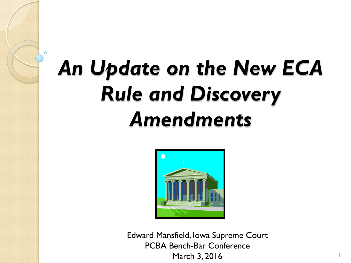# *An Update on the New ECA Rule and Discovery Amendments*



Edward Mansfield, Iowa Supreme Court PCBA Bench-Bar Conference March 3, 2016

1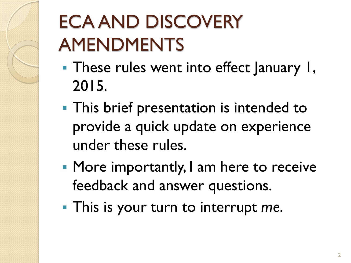## ECA AND DISCOVERY AMENDMENTS

- **These rules went into effect January 1,** 2015.
- **This brief presentation is intended to** provide a quick update on experience under these rules.
- **More importantly, I am here to receive** feedback and answer questions.
- This is your turn to interrupt *me*.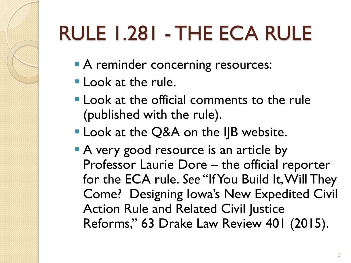# RULE 1.281 - THE ECA RULE

- A reminder concerning resources:
- **Look at the rule.**
- **Look at the official comments to the rule** (published with the rule).
- **Look at the Q&A on the IJB website.**
- A very good resource is an article by Professor Laurie Dore – the official reporter for the ECA rule. *See* "If You Build It, Will They Come? Designing Iowa's New Expedited Civil Action Rule and Related Civil Justice Reforms," 63 Drake Law Review 401 (2015).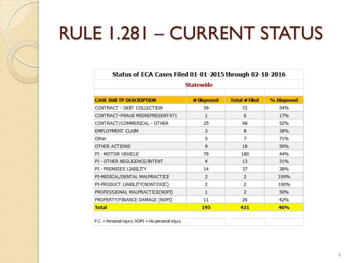### RULE 1.281 – CURRENT STATUS

| Status of ECA Cases Filed 01-01-2015 through 02-18-2016<br><b>Statewide</b> |                |                      |            |
|-----------------------------------------------------------------------------|----------------|----------------------|------------|
|                                                                             |                |                      |            |
| <b>CASE SUB TP DESCRIPTION</b>                                              | # Disposed     | <b>Total # Filed</b> | % Disposed |
| CONTRACT - DEBT COLLECTION                                                  | 39             | 72                   | 54%        |
| CONTRACT-FRAUD MISREPRESENTATI                                              | 1              | 6                    | 17%        |
| CONTRACT/COMMERICAL - OTHER                                                 | 25             | 48                   | 52%        |
| <b>EMPLOYMENT CLAIM</b>                                                     | 3              | 8                    | 38%        |
| Other                                                                       | 5              | 7                    | 71%        |
| <b>OTHER ACTIONS</b>                                                        | 9              | 18                   | 50%        |
| <b>PI - MOTOR VEHICLE</b>                                                   | 79             | 180                  | 44%        |
| PI - OTHER NEGLIGENCE/INTENT                                                | 4              | 13                   | 31%        |
| PI - PREMISES LIABILITY                                                     | 14             | 37                   | 38%        |
| PI-MEDICAL/DENTAL MALPRACTICE                                               | $\overline{2}$ | $\overline{2}$       | 100%       |
| PI-PRODUCT LIABILITY(NONTOXIC)                                              | 2              | 2                    | 100%       |
| PROFESSIONAL MALPRACTICE(NOPI)                                              | 1              | $\overline{2}$       | 50%        |
| PROPERTY/FINANCE DAMAGE (NOPI)                                              | 11             | 26                   | 42%        |
| <b>Total</b>                                                                | 195            | 421                  | 46%        |
|                                                                             |                |                      |            |
| $P.I.$ = Personal injury; NOPI = No personal injury                         |                |                      |            |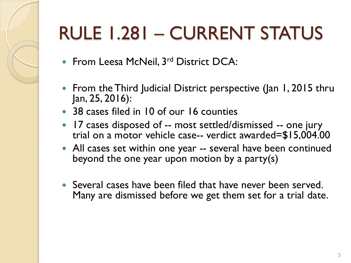## RULE 1.281 – CURRENT STATUS

- From Leesa McNeil, 3<sup>rd</sup> District DCA:
- From the Third Judicial District perspective (Jan 1, 2015 thru Jan, 25, 2016):
- 38 cases filed in 10 of our 16 counties
- 17 cases disposed of -- most settled/dismissed -- one jury trial on a motor vehicle case-- verdict awarded=\$15,004.00
- All cases set within one year -- several have been continued beyond the one year upon motion by a party(s)
- Several cases have been filed that have never been served. Many are dismissed before we get them set for a trial date.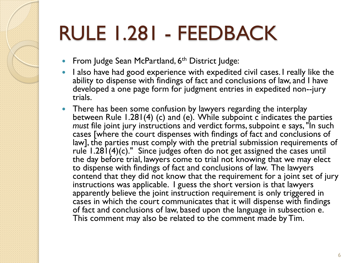## RULE 1.281 - FEEDBACK

- From Judge Sean McPartland, 6<sup>th</sup> District Judge:
- I also have had good experience with expedited civil cases. I really like the ability to dispense with findings of fact and conclusions of law, and I have developed a one page form for judgment entries in expedited non--jury trials.
- There has been some confusion by lawyers regarding the interplay between Rule 1.281(4) (c) and (e). While subpoint c indicates the parties *must* file joint jury instructions and verdict forms, subpoint e says, "In such cases [where the court dispenses with findings of fact and conclusions of law], the parties must comply with the pretrial submission requirements of rule  $1.281(4)(c)$ ." Since judges often do not get assigned the cases until the day before trial, lawyers come to trial not knowing that we may elect to dispense with findings of fact and conclusions of law. The lawyers contend that they did not know that the requirement for a joint set of jury instructions was applicable. I guess the short version is that lawyers apparently believe the joint instruction requirement is only triggered in cases in which the court communicates that it will dispense with findings of fact and conclusions of law, based upon the language in subsection e. This comment may also be related to the comment made by Tim.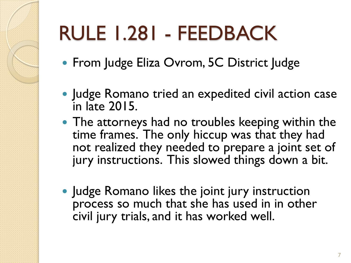# RULE 1.281 - FEEDBACK

- **From Judge Eliza Ovrom, 5C District Judge**
- Judge Romano tried an expedited civil action case in late 2015.
- The attorneys had no troubles keeping within the time frames. The only hiccup was that they had not realized they needed to prepare a joint set of jury instructions. This slowed things down a bit.
- Judge Romano likes the joint jury instruction process so much that she has used in in other civil jury trials, and it has worked well.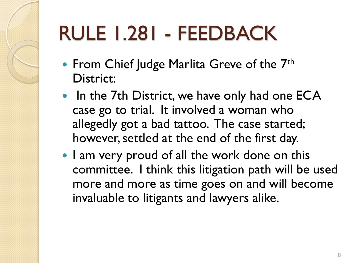## RULE 1.281 - FEEDBACK

- From Chief Judge Marlita Greve of the 7<sup>th</sup> District:
- In the 7th District, we have only had one ECA case go to trial. It involved a woman who allegedly got a bad tattoo. The case started; however, settled at the end of the first day.
- I am very proud of all the work done on this committee. I think this litigation path will be used more and more as time goes on and will become invaluable to litigants and lawyers alike.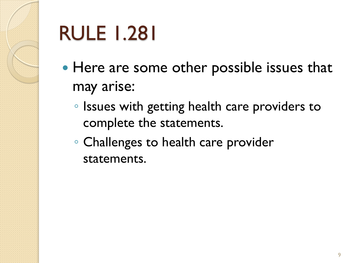

## RULE 1.281

- Here are some other possible issues that may arise:
	- Issues with getting health care providers to complete the statements.
	- Challenges to health care provider statements.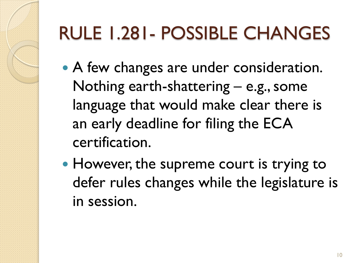### RULE 1.281- POSSIBLE CHANGES

- A few changes are under consideration. Nothing earth-shattering – e.g., some language that would make clear there is an early deadline for filing the ECA certification.
- However, the supreme court is trying to defer rules changes while the legislature is in session.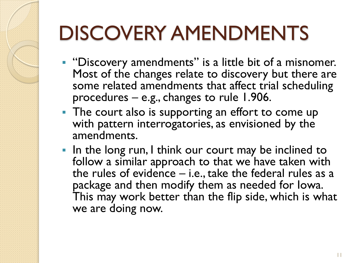## DISCOVERY AMENDMENTS

- "Discovery amendments" is a little bit of a misnomer. Most of the changes relate to discovery but there are some related amendments that affect trial scheduling procedures – e.g., changes to rule 1.906.
- The court also is supporting an effort to come up with pattern interrogatories, as envisioned by the amendments.
- In the long run, I think our court may be inclined to follow a similar approach to that we have taken with the rules of evidence – i.e., take the federal rules as a package and then modify them as needed for Iowa. This may work better than the flip side, which is what we are doing now.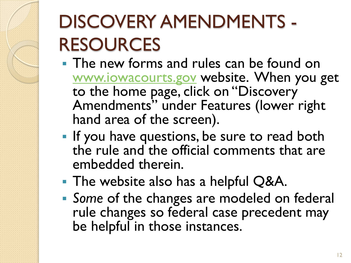## DISCOVERY AMENDMENTS - RESOURCES

- **The new forms and rules can be found on** [www.iowacourts.gov](http://www.iowacourts.gov/) website. When you get to the home page, click on "Discovery Amendments" under Features (lower right hand area of the screen).
- **If you have questions, be sure to read both** the rule and the official comments that are embedded therein.
- **The website also has a helpful Q&A.**
- *Some* of the changes are modeled on federal rule changes so federal case precedent may be helpful in those instances.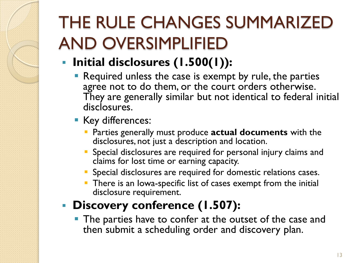- **Initial disclosures (1.500(1)):** 
	- Required unless the case is exempt by rule, the parties agree not to do them, or the court orders otherwise. They are generally similar but not identical to federal initial disclosures.
	- **Key differences:** 
		- Parties generally must produce **actual documents** with the disclosures, not just a description and location.
		- Special disclosures are required for personal injury claims and claims for lost time or earning capacity.
		- **Special disclosures are required for domestic relations cases.**
		- **There is an lowa-specific list of cases exempt from the initial** disclosure requirement.

#### **Discovery conference (1.507):**

**The parties have to confer at the outset of the case and** then submit a scheduling order and discovery plan.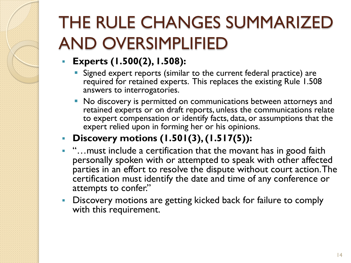- **Experts (1.500(2), 1.508):**
	- **Signed expert reports (similar to the current federal practice) are** required for retained experts. This replaces the existing Rule 1.508 answers to interrogatories.
	- $\blacksquare$  No discovery is permitted on communications between attorneys and retained experts or on draft reports, unless the communications relate to expert compensation or identify facts, data, or assumptions that the expert relied upon in forming her or his opinions.
- **Discovery motions (1.501(3), (1.517(5)):**
- "...must include a certification that the movant has in good faith personally spoken with or attempted to speak with other affected parties in an effort to resolve the dispute without court action. The certification must identify the date and time of any conference or attempts to confer."
- **Discovery motions are getting kicked back for failure to comply** with this requirement.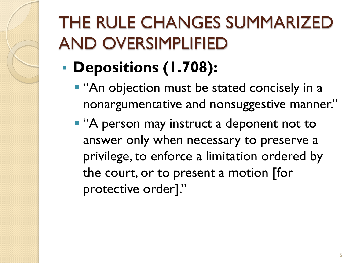- **Depositions (1.708):**
	- **"** "An objection must be stated concisely in a nonargumentative and nonsuggestive manner."
	- **A** person may instruct a deponent not to answer only when necessary to preserve a privilege, to enforce a limitation ordered by the court, or to present a motion [for protective order]."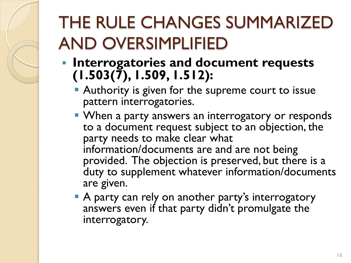- **Interrogatories and document requests (1.503(7), 1.509, 1.512):**
	- **Authority is given for the supreme court to issue** pattern interrogatories.
	- **When a party answers an interrogatory or responds** to a document request subject to an objection, the party needs to make clear what information/documents are and are not being provided. The objection is preserved, but there is a duty to supplement whatever information/documents are given.
	- A party can rely on another party's interrogatory answers even if that party didn't promulgate the interrogatory.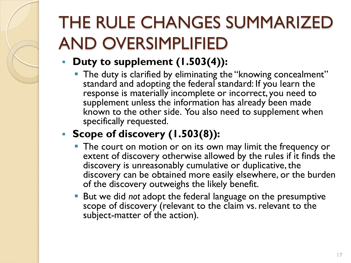#### **Duty to supplement (1.503(4)):**

**The duty is clarified by eliminating the "knowing concealment"** standard and adopting the federal standard: If you learn the response is materially incomplete or incorrect, you need to supplement unless the information has already been made known to the other side. You also need to supplement when specifically requested.

#### **Scope of discovery (1.503(8)):**

- **The court on motion or on its own may limit the frequency or** extent of discovery otherwise allowed by the rules if it finds the discovery is unreasonably cumulative or duplicative, the discovery can be obtained more easily elsewhere, or the burden of the discovery outweighs the likely benefit.
- But we did *not* adopt the federal language on the presumptive scope of discovery (relevant to the claim vs. relevant to the subject-matter of the action).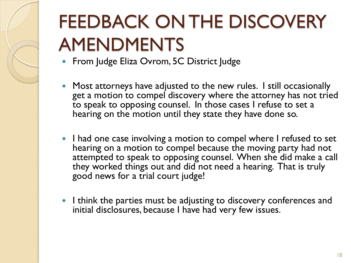## FEEDBACK ON THE DISCOVERY AMENDMENTS

- From Judge Eliza Ovrom, 5C District Judge
- Most attorneys have adjusted to the new rules. I still occasionally get a motion to compel discovery where the attorney has not tried  $\,$ to speak to opposing counsel. In those cases I refuse to set a hearing on the motion until they state they have done so.
- I had one case involving a motion to compel where I refused to set hearing on a motion to compel because the moving party had not attempted to speak to opposing counsel. When she did make a call they worked things out and did not need a hearing. That is truly good news for a trial court judge!
- I think the parties must be adjusting to discovery conferences and initial disclosures, because I have had very few issues.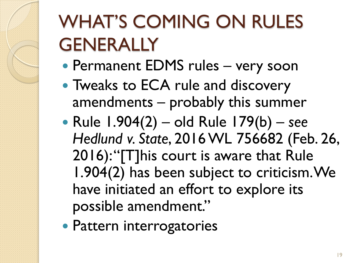## WHAT'S COMING ON RULES **GENERALLY**

- Permanent EDMS rules very soon
- Tweaks to ECA rule and discovery amendments – probably this summer
- Rule 1.904(2) old Rule 179(b) *see Hedlund v. State*, 2016 WL 756682 (Feb. 26, 2016): "[T]his court is aware that Rule 1.904(2) has been subject to criticism. We have initiated an effort to explore its possible amendment."
- Pattern interrogatories